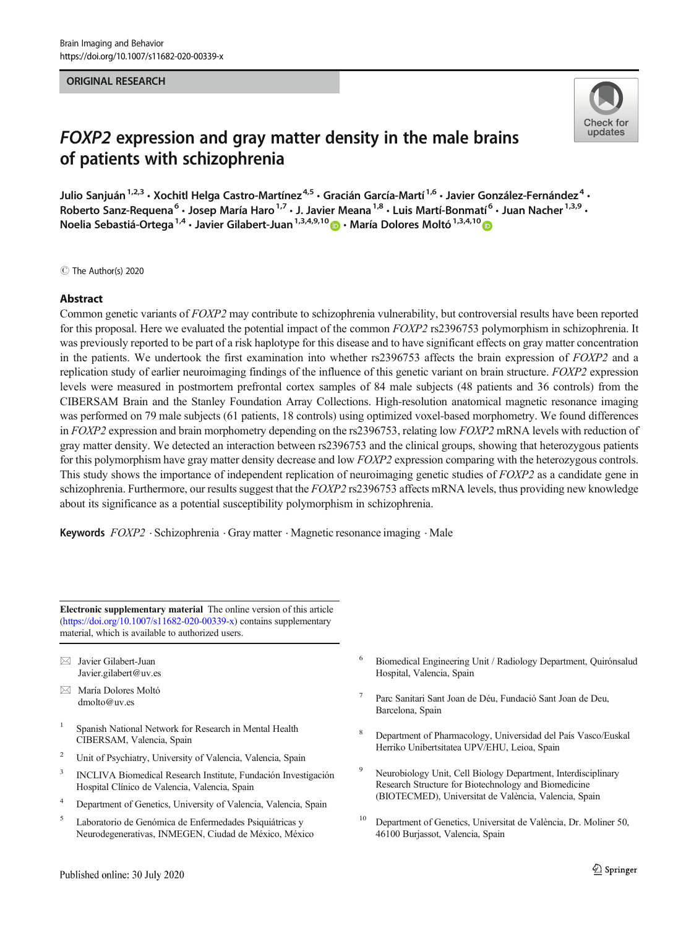#### ORIGINAL RESEARCH



# FOXP2 expression and gray matter density in the male brains of patients with schizophrenia

Julio Sanjuán<sup>1,2,3</sup> • Xochitl Helga Castro-Martínez<sup>4,5</sup> • Gracián García-Martí<sup>1,6</sup> • Javier González-Fernández<sup>4</sup> • Roberto Sanz-Requena<sup>6</sup> • Josep María Haro<sup>1,7</sup> • J. Javier Meana<sup>1,8</sup> • Luis Martí-Bonmatí<sup>6</sup> • Juan Nacher<sup>1,3,9</sup> • Noelia Sebastiá-Ortega<sup>1,4</sup> • Javier Gilabert-Juan<sup>1,3,4,9,10</sup>  $\bullet$  • María Dolores Moltó<sup>1,3,4,10</sup>

C The Author(s) 2020

## Abstract

Common genetic variants of FOXP2 may contribute to schizophrenia vulnerability, but controversial results have been reported for this proposal. Here we evaluated the potential impact of the common FOXP2 rs2396753 polymorphism in schizophrenia. It was previously reported to be part of a risk haplotype for this disease and to have significant effects on gray matter concentration in the patients. We undertook the first examination into whether rs2396753 affects the brain expression of FOXP2 and a replication study of earlier neuroimaging findings of the influence of this genetic variant on brain structure. FOXP2 expression levels were measured in postmortem prefrontal cortex samples of 84 male subjects (48 patients and 36 controls) from the CIBERSAM Brain and the Stanley Foundation Array Collections. High-resolution anatomical magnetic resonance imaging was performed on 79 male subjects (61 patients, 18 controls) using optimized voxel-based morphometry. We found differences in FOXP2 expression and brain morphometry depending on the rs2396753, relating low FOXP2 mRNA levels with reduction of gray matter density. We detected an interaction between rs2396753 and the clinical groups, showing that heterozygous patients for this polymorphism have gray matter density decrease and low FOXP2 expression comparing with the heterozygous controls. This study shows the importance of independent replication of neuroimaging genetic studies of FOXP2 as a candidate gene in schizophrenia. Furthermore, our results suggest that the  $FOXP2$  rs2396753 affects mRNA levels, thus providing new knowledge about its significance as a potential susceptibility polymorphism in schizophrenia.

**Keywords**  $FOXP2$  · Schizophrenia  $\cdot$  Gray matter  $\cdot$  Magnetic resonance imaging  $\cdot$  Male

Electronic supplementary material The online version of this article ([https://doi.org/10.1007/s11682-020-00339-x\)](https://doi.org/10.1007/s11682-020-00339-x) contains supplementary material, which is available to authorized users.

 $\boxtimes$  Javier Gilabert-Juan [Javier.gilabert@uv.es](mailto:Javier.gilabert@uv.es)

- $\boxtimes$  María Dolores Moltó [dmolto@uv.es](mailto:dmolto@uv.es)
- <sup>1</sup> Spanish National Network for Research in Mental Health CIBERSAM, Valencia, Spain
- <sup>2</sup> Unit of Psychiatry, University of Valencia, Valencia, Spain
- <sup>3</sup> INCLIVA Biomedical Research Institute, Fundación Investigación Hospital Clínico de Valencia, Valencia, Spain
- <sup>4</sup> Department of Genetics, University of Valencia, Valencia, Spain
- <sup>5</sup> Laboratorio de Genómica de Enfermedades Psiquiátricas y Neurodegenerativas, INMEGEN, Ciudad de México, México
- <sup>6</sup> Biomedical Engineering Unit / Radiology Department, Quirónsalud Hospital, Valencia, Spain
- <sup>7</sup> Parc Sanitari Sant Joan de Déu, Fundació Sant Joan de Deu, Barcelona, Spain
- <sup>8</sup> Department of Pharmacology, Universidad del País Vasco/Euskal Herriko Unibertsitatea UPV/EHU, Leioa, Spain
- <sup>9</sup> Neurobiology Unit, Cell Biology Department, Interdisciplinary Research Structure for Biotechnology and Biomedicine (BIOTECMED), Universitat de València, Valencia, Spain
- <sup>10</sup> Department of Genetics, Universitat de València, Dr. Moliner 50, 46100 Burjassot, Valencia, Spain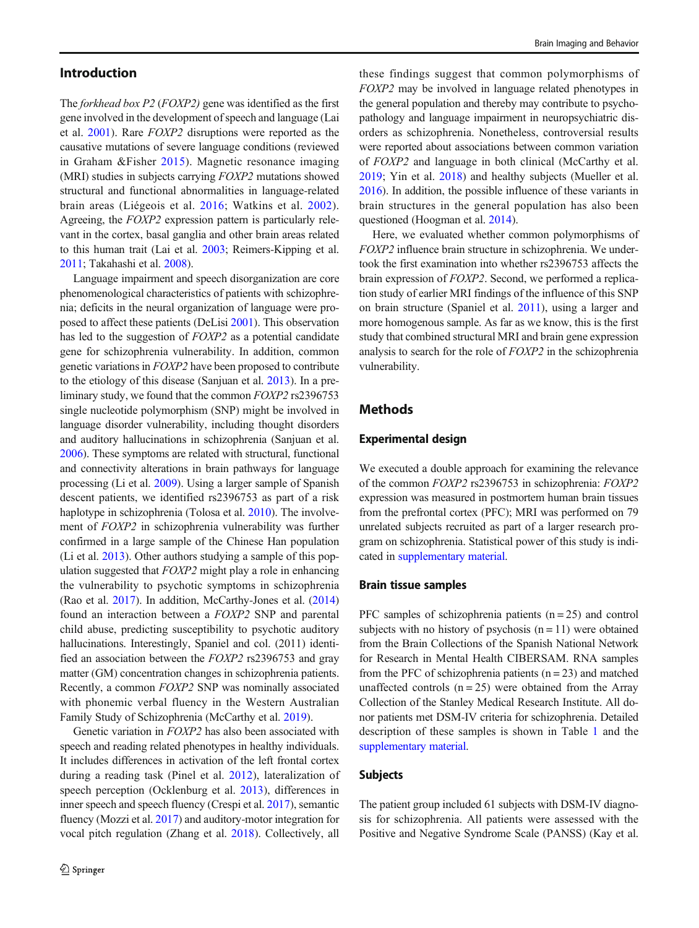## Introduction

The forkhead box P2 (FOXP2) gene was identified as the first gene involved in the development of speech and language (Lai et al. [2001\)](#page-7-0). Rare FOXP2 disruptions were reported as the causative mutations of severe language conditions (reviewed in Graham &Fisher [2015\)](#page-7-0). Magnetic resonance imaging (MRI) studies in subjects carrying FOXP2 mutations showed structural and functional abnormalities in language-related brain areas (Liégeois et al. [2016](#page-7-0); Watkins et al. [2002](#page-8-0)). Agreeing, the FOXP2 expression pattern is particularly relevant in the cortex, basal ganglia and other brain areas related to this human trait (Lai et al. [2003;](#page-7-0) Reimers-Kipping et al. [2011;](#page-8-0) Takahashi et al. [2008](#page-8-0)).

Language impairment and speech disorganization are core phenomenological characteristics of patients with schizophrenia; deficits in the neural organization of language were proposed to affect these patients (DeLisi [2001](#page-7-0)). This observation has led to the suggestion of *FOXP2* as a potential candidate gene for schizophrenia vulnerability. In addition, common genetic variations in FOXP2 have been proposed to contribute to the etiology of this disease (Sanjuan et al. [2013](#page-8-0)). In a preliminary study, we found that the common FOXP2 rs2396753 single nucleotide polymorphism (SNP) might be involved in language disorder vulnerability, including thought disorders and auditory hallucinations in schizophrenia (Sanjuan et al. [2006\)](#page-8-0). These symptoms are related with structural, functional and connectivity alterations in brain pathways for language processing (Li et al. [2009\)](#page-7-0). Using a larger sample of Spanish descent patients, we identified rs2396753 as part of a risk haplotype in schizophrenia (Tolosa et al. [2010](#page-8-0)). The involvement of FOXP2 in schizophrenia vulnerability was further confirmed in a large sample of the Chinese Han population (Li et al. [2013\)](#page-7-0). Other authors studying a sample of this population suggested that FOXP2 might play a role in enhancing the vulnerability to psychotic symptoms in schizophrenia (Rao et al. [2017\)](#page-8-0). In addition, McCarthy-Jones et al. [\(2014\)](#page-8-0) found an interaction between a FOXP2 SNP and parental child abuse, predicting susceptibility to psychotic auditory hallucinations. Interestingly, Spaniel and col. (2011) identified an association between the FOXP2 rs2396753 and gray matter (GM) concentration changes in schizophrenia patients. Recently, a common FOXP2 SNP was nominally associated with phonemic verbal fluency in the Western Australian Family Study of Schizophrenia (McCarthy et al. [2019](#page-8-0)).

Genetic variation in FOXP2 has also been associated with speech and reading related phenotypes in healthy individuals. It includes differences in activation of the left frontal cortex during a reading task (Pinel et al. [2012](#page-8-0)), lateralization of speech perception (Ocklenburg et al. [2013\)](#page-8-0), differences in inner speech and speech fluency (Crespi et al. [2017](#page-7-0)), semantic fluency (Mozzi et al. [2017](#page-8-0)) and auditory-motor integration for vocal pitch regulation (Zhang et al. [2018\)](#page-8-0). Collectively, all

these findings suggest that common polymorphisms of FOXP2 may be involved in language related phenotypes in the general population and thereby may contribute to psychopathology and language impairment in neuropsychiatric disorders as schizophrenia. Nonetheless, controversial results were reported about associations between common variation of FOXP2 and language in both clinical (McCarthy et al. [2019;](#page-8-0) Yin et al. [2018](#page-8-0)) and healthy subjects (Mueller et al. [2016\)](#page-8-0). In addition, the possible influence of these variants in brain structures in the general population has also been questioned (Hoogman et al. [2014](#page-7-0)).

Here, we evaluated whether common polymorphisms of FOXP2 influence brain structure in schizophrenia. We undertook the first examination into whether rs2396753 affects the brain expression of FOXP2. Second, we performed a replication study of earlier MRI findings of the influence of this SNP on brain structure (Spaniel et al. [2011](#page-8-0)), using a larger and more homogenous sample. As far as we know, this is the first study that combined structural MRI and brain gene expression analysis to search for the role of FOXP2 in the schizophrenia vulnerability.

# Methods

#### Experimental design

We executed a double approach for examining the relevance of the common FOXP2 rs2396753 in schizophrenia: FOXP2 expression was measured in postmortem human brain tissues from the prefrontal cortex (PFC); MRI was performed on 79 unrelated subjects recruited as part of a larger research program on schizophrenia. Statistical power of this study is indicated in supplementary material.

#### Brain tissue samples

PFC samples of schizophrenia patients  $(n = 25)$  and control subjects with no history of psychosis  $(n = 11)$  were obtained from the Brain Collections of the Spanish National Network for Research in Mental Health CIBERSAM. RNA samples from the PFC of schizophrenia patients  $(n = 23)$  and matched unaffected controls  $(n = 25)$  were obtained from the Array Collection of the Stanley Medical Research Institute. All donor patients met DSM-IV criteria for schizophrenia. Detailed description of these samples is shown in Table [1](#page-2-0) and the supplementary material.

### Subjects

The patient group included 61 subjects with DSM-IV diagnosis for schizophrenia. All patients were assessed with the Positive and Negative Syndrome Scale (PANSS) (Kay et al.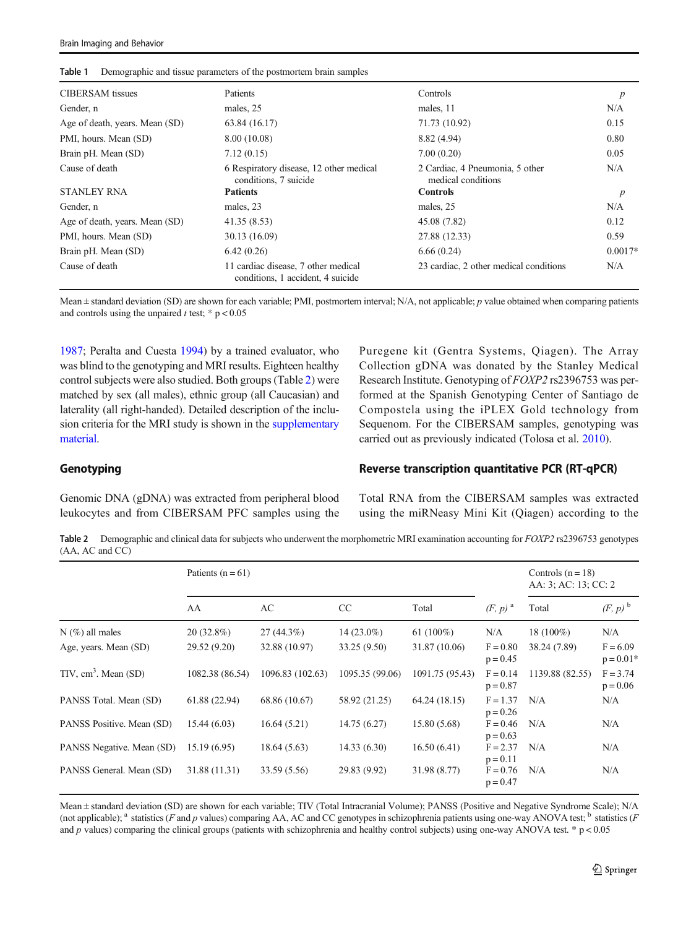| <b>CIBERSAM</b> tissues        | Patients                                                                 | Controls                                              | $\boldsymbol{p}$ |
|--------------------------------|--------------------------------------------------------------------------|-------------------------------------------------------|------------------|
| Gender, n                      | males, 25                                                                | males, 11                                             | N/A              |
| Age of death, years. Mean (SD) | 63.84 (16.17)                                                            | 71.73 (10.92)                                         | 0.15             |
| PMI, hours. Mean (SD)          | 8.00 (10.08)                                                             | 8.82 (4.94)                                           | 0.80             |
| Brain pH. Mean (SD)            | 7.12(0.15)                                                               | 7.00(0.20)                                            | 0.05             |
| Cause of death                 | 6 Respiratory disease, 12 other medical<br>conditions, 7 suicide         | 2 Cardiac, 4 Pneumonia, 5 other<br>medical conditions | N/A              |
| <b>STANLEY RNA</b>             | <b>Patients</b>                                                          | <b>Controls</b>                                       | $\boldsymbol{p}$ |
| Gender, n                      | males, 23                                                                | males, 25                                             | N/A              |
| Age of death, years. Mean (SD) | 41.35(8.53)                                                              | 45.08 (7.82)                                          | 0.12             |
| PMI, hours. Mean (SD)          | 30.13 (16.09)                                                            | 27.88 (12.33)                                         | 0.59             |
| Brain pH. Mean (SD)            | 6.42(0.26)                                                               | 6.66(0.24)                                            | $0.0017*$        |
| Cause of death                 | 11 cardiac disease, 7 other medical<br>conditions, 1 accident, 4 suicide | 23 cardiac, 2 other medical conditions                | N/A              |

<span id="page-2-0"></span>Table 1 Demographic and tissue parameters of the postmortem brain samples

Mean  $\pm$  standard deviation (SD) are shown for each variable; PMI, postmortem interval; N/A, not applicable; p value obtained when comparing patients and controls using the unpaired  $t$  test; \*  $p < 0.05$ 

[1987;](#page-7-0) Peralta and Cuesta [1994](#page-8-0)) by a trained evaluator, who was blind to the genotyping and MRI results. Eighteen healthy control subjects were also studied. Both groups (Table 2) were matched by sex (all males), ethnic group (all Caucasian) and laterality (all right-handed). Detailed description of the inclusion criteria for the MRI study is shown in the supplementary material.

Puregene kit (Gentra Systems, Qiagen). The Array Collection gDNA was donated by the Stanley Medical Research Institute. Genotyping of FOXP2 rs2396753 was performed at the Spanish Genotyping Center of Santiago de Compostela using the iPLEX Gold technology from Sequenom. For the CIBERSAM samples, genotyping was carried out as previously indicated (Tolosa et al. [2010\)](#page-8-0).

## Genotyping

Genomic DNA (gDNA) was extracted from peripheral blood leukocytes and from CIBERSAM PFC samples using the

# Reverse transcription quantitative PCR (RT-qPCR)

Total RNA from the CIBERSAM samples was extracted using the miRNeasy Mini Kit (Qiagen) according to the

Table 2 Demographic and clinical data for subjects who underwent the morphometric MRI examination accounting for FOXP2 rs2396753 genotypes (AA, AC and CC)

|                           | Patients $(n = 61)$ |                  |                 |                 |                          | Controls $(n = 18)$<br>AA: 3; AC: 13; CC: 2 |                           |
|---------------------------|---------------------|------------------|-----------------|-----------------|--------------------------|---------------------------------------------|---------------------------|
|                           | AA                  | AC               | CC              | Total           | $(F, p)$ <sup>a</sup>    | Total                                       | $(F, p)$ <sup>b</sup>     |
| $N$ (%) all males         | $20(32.8\%)$        | $27(44.3\%)$     | $14(23.0\%)$    | 61 $(100\%)$    | N/A                      | $18(100\%)$                                 | N/A                       |
| Age, years. Mean (SD)     | 29.52 (9.20)        | 32.88 (10.97)    | 33.25 (9.50)    | 31.87 (10.06)   | $F = 0.80$<br>$p = 0.45$ | 38.24 (7.89)                                | $F = 6.09$<br>$p = 0.01*$ |
| TIV, $cm3$ . Mean (SD)    | 1082.38 (86.54)     | 1096.83 (102.63) | 1095.35 (99.06) | 1091.75 (95.43) | $F = 0.14$<br>$p = 0.87$ | 1139.88 (82.55)                             | $F = 3.74$<br>$p = 0.06$  |
| PANSS Total. Mean (SD)    | 61.88 (22.94)       | 68.86 (10.67)    | 58.92 (21.25)   | 64.24 (18.15)   | $F = 1.37$<br>$p = 0.26$ | N/A                                         | N/A                       |
| PANSS Positive. Mean (SD) | 15.44 (6.03)        | 16.64(5.21)      | 14.75(6.27)     | 15.80 (5.68)    | $F = 0.46$<br>$p = 0.63$ | N/A                                         | N/A                       |
| PANSS Negative. Mean (SD) | 15.19(6.95)         | 18.64 (5.63)     | 14.33(6.30)     | 16.50(6.41)     | $F = 2.37$<br>$p = 0.11$ | N/A                                         | N/A                       |
| PANSS General. Mean (SD)  | 31.88 (11.31)       | 33.59 (5.56)     | 29.83 (9.92)    | 31.98 (8.77)    | $F = 0.76$<br>$p = 0.47$ | N/A                                         | N/A                       |

Mean  $\pm$  standard deviation (SD) are shown for each variable; TIV (Total Intracranial Volume); PANSS (Positive and Negative Syndrome Scale); N/A (not applicable); <sup>a</sup> statistics (F and p values) comparing AA, AC and CC genotypes in schizophrenia patients using one-way ANOVA test; <sup>b</sup> statistics (F and p values) comparing the clinical groups (patients with schizophrenia and healthy control subjects) using one-way ANOVA test.  $* p < 0.05$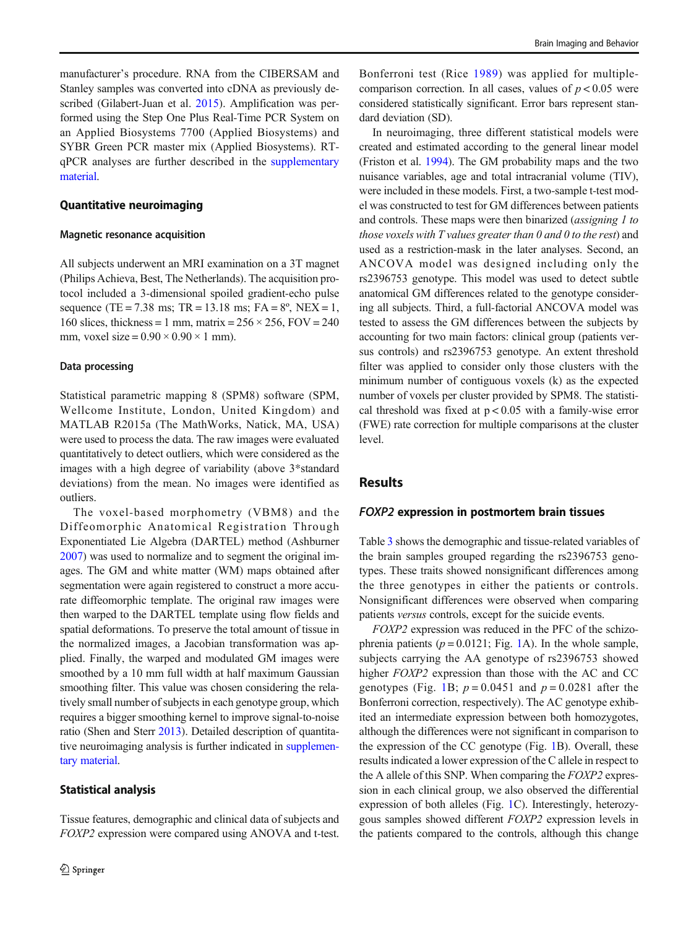manufacturer's procedure. RNA from the CIBERSAM and Stanley samples was converted into cDNA as previously described (Gilabert-Juan et al. [2015\)](#page-7-0). Amplification was performed using the Step One Plus Real-Time PCR System on an Applied Biosystems 7700 (Applied Biosystems) and SYBR Green PCR master mix (Applied Biosystems). RTqPCR analyses are further described in the supplementary material.

#### Quantitative neuroimaging

#### Magnetic resonance acquisition

All subjects underwent an MRI examination on a 3T magnet (Philips Achieva, Best, The Netherlands). The acquisition protocol included a 3-dimensional spoiled gradient-echo pulse sequence (TE = 7.38 ms; TR = 13.18 ms; FA =  $8^\circ$ , NEX = 1, 160 slices, thickness = 1 mm, matrix =  $256 \times 256$ , FOV = 240 mm, voxel size =  $0.90 \times 0.90 \times 1$  mm).

#### Data processing

Statistical parametric mapping 8 (SPM8) software (SPM, Wellcome Institute, London, United Kingdom) and MATLAB R2015a (The MathWorks, Natick, MA, USA) were used to process the data. The raw images were evaluated quantitatively to detect outliers, which were considered as the images with a high degree of variability (above 3\*standard deviations) from the mean. No images were identified as outliers.

The voxel-based morphometry (VBM8) and the Diffeomorphic Anatomical Registration Through Exponentiated Lie Algebra (DARTEL) method (Ashburner [2007\)](#page-7-0) was used to normalize and to segment the original images. The GM and white matter (WM) maps obtained after segmentation were again registered to construct a more accurate diffeomorphic template. The original raw images were then warped to the DARTEL template using flow fields and spatial deformations. To preserve the total amount of tissue in the normalized images, a Jacobian transformation was applied. Finally, the warped and modulated GM images were smoothed by a 10 mm full width at half maximum Gaussian smoothing filter. This value was chosen considering the relatively small number of subjects in each genotype group, which requires a bigger smoothing kernel to improve signal-to-noise ratio (Shen and Sterr [2013\)](#page-8-0). Detailed description of quantitative neuroimaging analysis is further indicated in supplementary material.

### Statistical analysis

Tissue features, demographic and clinical data of subjects and FOXP2 expression were compared using ANOVA and t-test.

Bonferroni test (Rice [1989\)](#page-8-0) was applied for multiplecomparison correction. In all cases, values of  $p < 0.05$  were considered statistically significant. Error bars represent standard deviation (SD).

In neuroimaging, three different statistical models were created and estimated according to the general linear model (Friston et al. [1994\)](#page-7-0). The GM probability maps and the two nuisance variables, age and total intracranial volume (TIV), were included in these models. First, a two-sample t-test model was constructed to test for GM differences between patients and controls. These maps were then binarized (assigning 1 to those voxels with  $T$  values greater than  $0$  and  $0$  to the rest) and used as a restriction-mask in the later analyses. Second, an ANCOVA model was designed including only the rs2396753 genotype. This model was used to detect subtle anatomical GM differences related to the genotype considering all subjects. Third, a full-factorial ANCOVA model was tested to assess the GM differences between the subjects by accounting for two main factors: clinical group (patients versus controls) and rs2396753 genotype. An extent threshold filter was applied to consider only those clusters with the minimum number of contiguous voxels (k) as the expected number of voxels per cluster provided by SPM8. The statistical threshold was fixed at  $p < 0.05$  with a family-wise error (FWE) rate correction for multiple comparisons at the cluster level.

## **Results**

#### FOXP2 expression in postmortem brain tissues

Table [3](#page-4-0) shows the demographic and tissue-related variables of the brain samples grouped regarding the rs2396753 genotypes. These traits showed nonsignificant differences among the three genotypes in either the patients or controls. Nonsignificant differences were observed when comparing patients versus controls, except for the suicide events.

FOXP2 expression was reduced in the PFC of the schizophrenia patients  $(p = 0.0121$  $(p = 0.0121$  $(p = 0.0121$ ; Fig. 1A). In the whole sample, subjects carrying the AA genotype of rs2396753 showed higher *FOXP2* expression than those with the AC and CC genotypes (Fig. [1](#page-4-0)B;  $p = 0.0451$  and  $p = 0.0281$  after the Bonferroni correction, respectively). The AC genotype exhibited an intermediate expression between both homozygotes, although the differences were not significant in comparison to the expression of the CC genotype (Fig. [1](#page-4-0)B). Overall, these results indicated a lower expression of the C allele in respect to the A allele of this SNP. When comparing the FOXP2 expression in each clinical group, we also observed the differential expression of both alleles (Fig. [1C](#page-4-0)). Interestingly, heterozygous samples showed different FOXP2 expression levels in the patients compared to the controls, although this change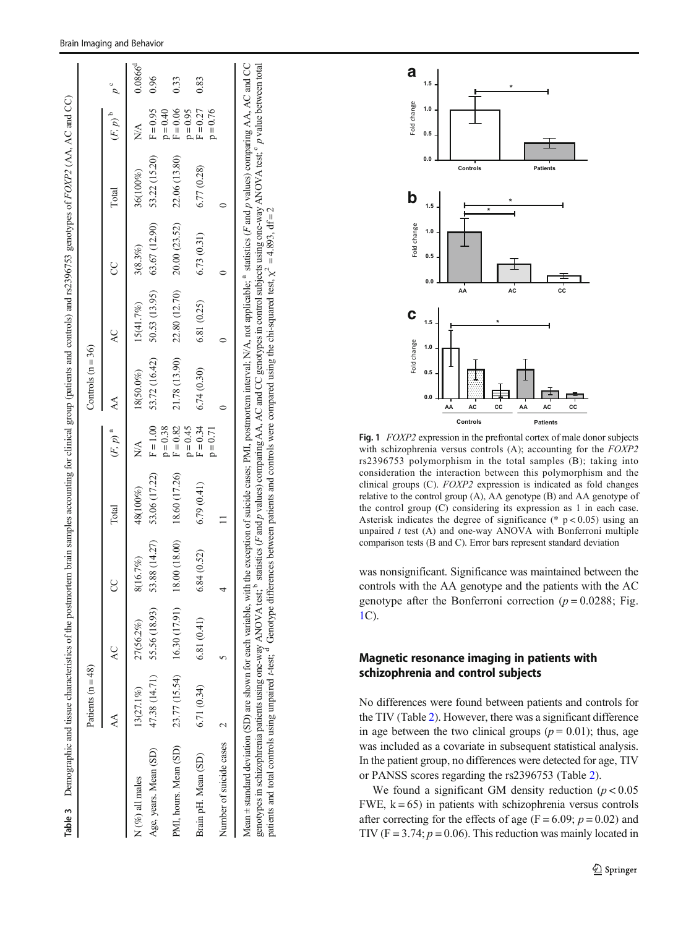<span id="page-4-0"></span>

|                         | Patients $(n = 48)$ |                             |               |               |                                 | Controls $(n = 36)$    |               |               |               |                                 |                |
|-------------------------|---------------------|-----------------------------|---------------|---------------|---------------------------------|------------------------|---------------|---------------|---------------|---------------------------------|----------------|
| AA                      |                     | Q                           |               | Total         | $(F, p)^{a}$                    | $\mathsf{A}\mathsf{A}$ | Q             | g             | Total         | $(F, p)$ <sup>b</sup>           | $p^{\text{c}}$ |
| $N$ (%) all males       | 13(27.1%)           | 27(56.2%)                   | 8(16.7%)      | 48(100%)      | $\stackrel{\triangle}{\approx}$ | 18(50.0%)              | 15(41.7%)     | 3(8.3%)       | 36(100%)      | $\frac{\mathbf{A}}{\mathbf{A}}$ | $0.0866^{d}$   |
| Age, years. Mean (SD)   | 47.38 (14.71)       | 55.56 (18.93)               | 53.88 (14.27) | 53.06 (17.22) | $F = 1.00$                      | 53.72 (16.42)          | 50.53 (13.95) | 63.67 (12.90) | 53.22 (15.20) | $F = 0.95$                      | 0.96           |
| PMI, hours. Mean (SD)   |                     | 23.77 (15.54) 16.30 (17.91) | 8.00 (18.00)  | 18.60 (17.26) | $F = 0.82$<br>$p = 0.38$        | 21.78 (13.90)          | 22.80 (12.70) | 20.00 (23.52) | 22.06 (13.80) | $F = 0.06$<br>$p = 0.40$        | 0.33           |
| Brain pH. Mean (SD)     | 6.71(0.34)          | 6.81(0.41)                  | 5.84 (0.52)   | 6.79(0.41)    | $F = 0.34$<br>$p = 0.45$        | 6.74(0.30)             | 6.81 (0.25)   | 6.73(0.31)    | 6.77(0.28)    | $F = 0.27$<br>$p = 0.95$        | 0.83           |
| Number of suicide cases |                     |                             |               |               | $p = 0.71$                      |                        |               |               |               | $p = 0.76$                      |                |



Fig. 1 FOXP2 expression in the prefrontal cortex of male donor subjects with schizophrenia versus controls (A); accounting for the FOXP2 rs2396753 polymorphism in the total samples (B); taking into consideration the interaction between this polymorphism and the clinical groups (C). FOXP2 expression is indicated as fold changes relative to the control group (A), AA genotype (B) and AA genotype of the control group (C) considering its expression as 1 in each case. Asterisk indicates the degree of significance (\*  $p < 0.05$ ) using an unpaired  $t$  test (A) and one-way ANOVA with Bonferroni multiple comparison tests (B and C). Error bars represent standard deviation

was nonsignificant. Significance was maintained between the controls with the AA genotype and the patients with the AC genotype after the Bonferroni correction ( $p = 0.0288$ ; Fig. 1C).

# Magnetic resonance imaging in patients with schizophrenia and control subjects

No differences were found between patients and controls for the TIV (Table [2](#page-2-0)). However, there was a significant difference in age between the two clinical groups ( $p = 0.01$ ); thus, age was included as a covariate in subsequent statistical analysis. In the patient group, no differences were detected for age, TIV or PANSS scores regarding the rs2396753 (Table [2](#page-2-0)).

We found a significant GM density reduction  $(p < 0.05$ FWE,  $k = 65$ ) in patients with schizophrenia versus controls after correcting for the effects of age ( $F = 6.09$ ;  $p = 0.02$ ) and TIV ( $F = 3.74$ ;  $p = 0.06$ ). This reduction was mainly located in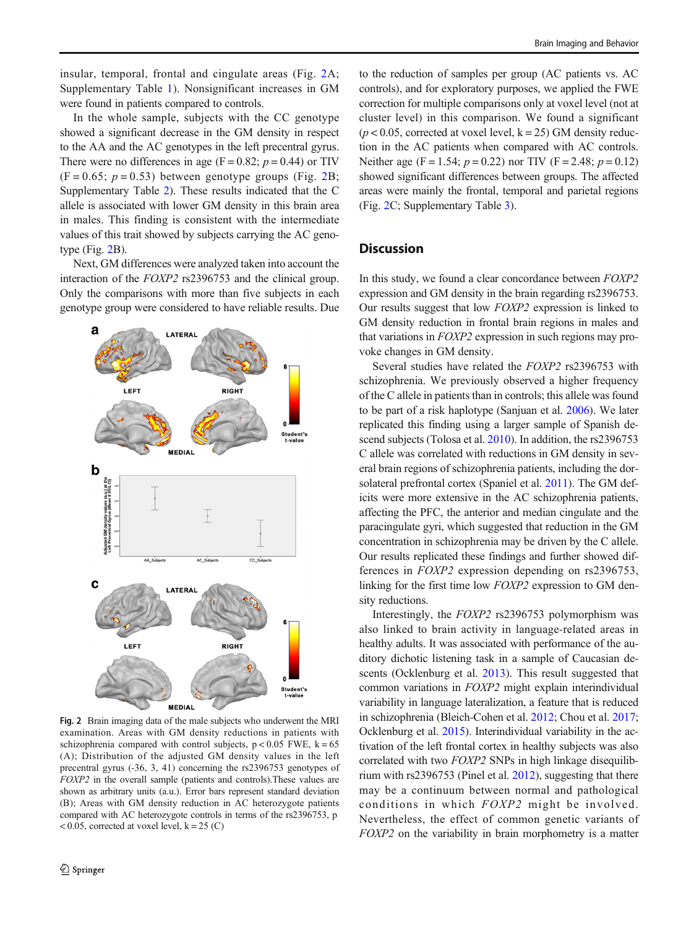insular, temporal, frontal and cingulate areas (Fig. 2A; Supplementary Table 1). Nonsignificant increases in GM were found in patients compared to controls.

In the whole sample, subjects with the CC genotype showed a significant decrease in the GM density in respect to the AA and the AC genotypes in the left precentral gyrus. There were no differences in age (F = 0.82;  $p = 0.44$ ) or TIV  $(F = 0.65; p = 0.53)$  between genotype groups (Fig. 2B; Supplementary Table 2). These results indicated that the C allele is associated with lower GM density in this brain area in males. This finding is consistent with the intermediate values of this trait showed by subjects carrying the AC genotype (Fig. 2B).

Next, GM differences were analyzed taken into account the interaction of the FOXP2 rs2396753 and the clinical group. Only the comparisons with more than five subjects in each genotype group were considered to have reliable results. Due



Fig. 2 Brain imaging data of the male subjects who underwent the MRI examination. Areas with GM density reductions in patients with schizophrenia compared with control subjects,  $p < 0.05$  FWE,  $k = 65$ (A); Distribution of the adjusted GM density values in the left precentral gyrus (-36, 3, 41) concerning the rs2396753 genotypes of FOXP2 in the overall sample (patients and controls).These values are shown as arbitrary units (a.u.). Error bars represent standard deviation (B); Areas with GM density reduction in AC heterozygote patients compared with AC heterozygote controls in terms of the rs2396753, p  $< 0.05$ , corrected at voxel level,  $k = 25$  (C)

to the reduction of samples per group (AC patients vs. AC controls), and for exploratory purposes, we applied the FWE correction for multiple comparisons only at voxel level (not at cluster level) in this comparison. We found a significant  $(p < 0.05$ , corrected at voxel level,  $k = 25$ ) GM density reduction in the AC patients when compared with AC controls. Neither age (F = 1.54;  $p = 0.22$ ) nor TIV (F = 2.48;  $p = 0.12$ ) showed significant differences between groups. The affected areas were mainly the frontal, temporal and parietal regions (Fig. 2C; Supplementary Table 3).

# **Discussion**

In this study, we found a clear concordance between FOXP2 expression and GM density in the brain regarding rs2396753. Our results suggest that low FOXP2 expression is linked to GM density reduction in frontal brain regions in males and that variations in FOXP2 expression in such regions may provoke changes in GM density.

Several studies have related the FOXP2 rs2396753 with schizophrenia. We previously observed a higher frequency of the C allele in patients than in controls; this allele was found to be part of a risk haplotype (Sanjuan et al. [2006](#page-8-0)). We later replicated this finding using a larger sample of Spanish de-scend subjects (Tolosa et al. [2010](#page-8-0)). In addition, the rs2396753 C allele was correlated with reductions in GM density in several brain regions of schizophrenia patients, including the dorsolateral prefrontal cortex (Spaniel et al. [2011](#page-8-0)). The GM deficits were more extensive in the AC schizophrenia patients, affecting the PFC, the anterior and median cingulate and the paracingulate gyri, which suggested that reduction in the GM concentration in schizophrenia may be driven by the C allele. Our results replicated these findings and further showed differences in FOXP2 expression depending on rs2396753, linking for the first time low FOXP2 expression to GM density reductions.

Interestingly, the FOXP2 rs2396753 polymorphism was also linked to brain activity in language-related areas in healthy adults. It was associated with performance of the auditory dichotic listening task in a sample of Caucasian de-scents (Ocklenburg et al. [2013](#page-8-0)). This result suggested that common variations in FOXP2 might explain interindividual variability in language lateralization, a feature that is reduced in schizophrenia (Bleich-Cohen et al. [2012](#page-7-0); Chou et al. [2017;](#page-7-0) Ocklenburg et al. [2015](#page-8-0)). Interindividual variability in the activation of the left frontal cortex in healthy subjects was also correlated with two FOXP2 SNPs in high linkage disequilibrium with rs2396753 (Pinel et al. [2012](#page-8-0)), suggesting that there may be a continuum between normal and pathological conditions in which FOXP2 might be involved. Nevertheless, the effect of common genetic variants of FOXP2 on the variability in brain morphometry is a matter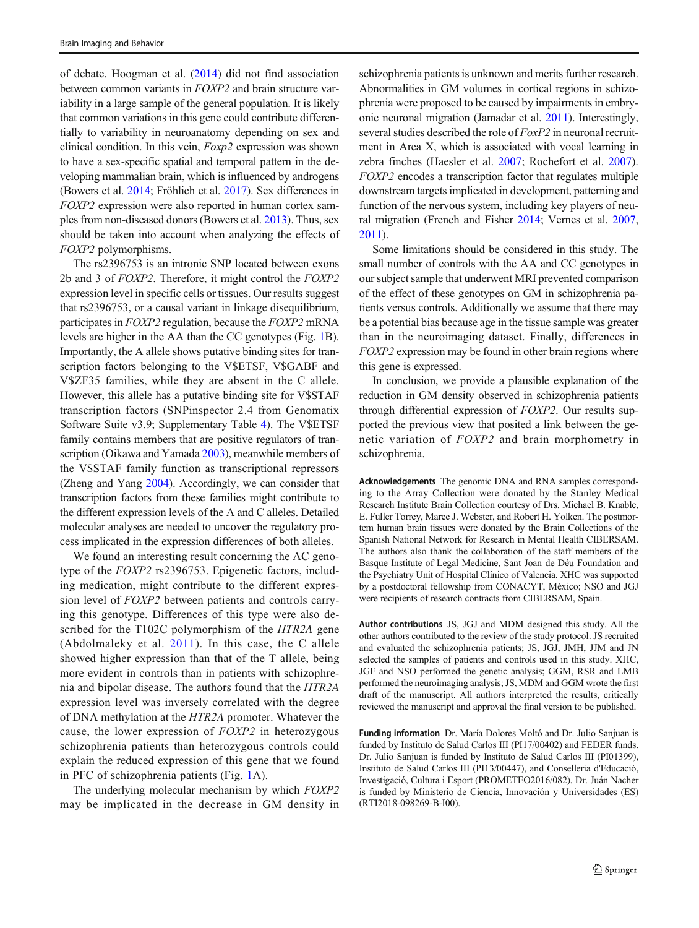of debate. Hoogman et al. ([2014\)](#page-7-0) did not find association between common variants in FOXP2 and brain structure variability in a large sample of the general population. It is likely that common variations in this gene could contribute differentially to variability in neuroanatomy depending on sex and clinical condition. In this vein, Foxp2 expression was shown to have a sex-specific spatial and temporal pattern in the developing mammalian brain, which is influenced by androgens (Bowers et al. [2014](#page-7-0); Fröhlich et al. [2017](#page-7-0)). Sex differences in FOXP2 expression were also reported in human cortex samples from non-diseased donors (Bowers et al. [2013\)](#page-7-0). Thus, sex should be taken into account when analyzing the effects of FOXP2 polymorphisms.

The rs2396753 is an intronic SNP located between exons 2b and 3 of FOXP2. Therefore, it might control the FOXP2 expression level in specific cells or tissues. Our results suggest that rs2396753, or a causal variant in linkage disequilibrium, participates in FOXP2 regulation, because the FOXP2 mRNA levels are higher in the AA than the CC genotypes (Fig. [1B](#page-4-0)). Importantly, the A allele shows putative binding sites for transcription factors belonging to the V\$ETSF, V\$GABF and V\$ZF35 families, while they are absent in the C allele. However, this allele has a putative binding site for V\$STAF transcription factors (SNPinspector 2.4 from Genomatix Software Suite v3.9; Supplementary Table 4). The V\$ETSF family contains members that are positive regulators of transcription (Oikawa and Yamada [2003\)](#page-8-0), meanwhile members of the V\$STAF family function as transcriptional repressors (Zheng and Yang [2004\)](#page-8-0). Accordingly, we can consider that transcription factors from these families might contribute to the different expression levels of the A and C alleles. Detailed molecular analyses are needed to uncover the regulatory process implicated in the expression differences of both alleles.

We found an interesting result concerning the AC genotype of the FOXP2 rs2396753. Epigenetic factors, including medication, might contribute to the different expression level of FOXP2 between patients and controls carrying this genotype. Differences of this type were also described for the T102C polymorphism of the HTR2A gene (Abdolmaleky et al. [2011\)](#page-7-0). In this case, the C allele showed higher expression than that of the T allele, being more evident in controls than in patients with schizophrenia and bipolar disease. The authors found that the HTR2A expression level was inversely correlated with the degree of DNA methylation at the HTR2A promoter. Whatever the cause, the lower expression of FOXP2 in heterozygous schizophrenia patients than heterozygous controls could explain the reduced expression of this gene that we found in PFC of schizophrenia patients (Fig. [1](#page-4-0)A).

The underlying molecular mechanism by which FOXP2 may be implicated in the decrease in GM density in schizophrenia patients is unknown and merits further research. Abnormalities in GM volumes in cortical regions in schizophrenia were proposed to be caused by impairments in embryonic neuronal migration (Jamadar et al. [2011](#page-7-0)). Interestingly, several studies described the role of FoxP2 in neuronal recruitment in Area X, which is associated with vocal learning in zebra finches (Haesler et al. [2007;](#page-7-0) Rochefort et al. [2007\)](#page-8-0). FOXP2 encodes a transcription factor that regulates multiple downstream targets implicated in development, patterning and function of the nervous system, including key players of neural migration (French and Fisher [2014;](#page-7-0) Vernes et al. [2007,](#page-8-0) [2011\)](#page-8-0).

Some limitations should be considered in this study. The small number of controls with the AA and CC genotypes in our subject sample that underwent MRI prevented comparison of the effect of these genotypes on GM in schizophrenia patients versus controls. Additionally we assume that there may be a potential bias because age in the tissue sample was greater than in the neuroimaging dataset. Finally, differences in FOXP2 expression may be found in other brain regions where this gene is expressed.

In conclusion, we provide a plausible explanation of the reduction in GM density observed in schizophrenia patients through differential expression of FOXP2. Our results supported the previous view that posited a link between the genetic variation of FOXP2 and brain morphometry in schizophrenia.

Acknowledgements The genomic DNA and RNA samples corresponding to the Array Collection were donated by the Stanley Medical Research Institute Brain Collection courtesy of Drs. Michael B. Knable, E. Fuller Torrey, Maree J. Webster, and Robert H. Yolken. The postmortem human brain tissues were donated by the Brain Collections of the Spanish National Network for Research in Mental Health CIBERSAM. The authors also thank the collaboration of the staff members of the Basque Institute of Legal Medicine, Sant Joan de Déu Foundation and the Psychiatry Unit of Hospital Clínico of Valencia. XHC was supported by a postdoctoral fellowship from CONACYT, México; NSO and JGJ were recipients of research contracts from CIBERSAM, Spain.

Author contributions JS, JGJ and MDM designed this study. All the other authors contributed to the review of the study protocol. JS recruited and evaluated the schizophrenia patients; JS, JGJ, JMH, JJM and JN selected the samples of patients and controls used in this study. XHC, JGF and NSO performed the genetic analysis; GGM, RSR and LMB performed the neuroimaging analysis; JS, MDM and GGM wrote the first draft of the manuscript. All authors interpreted the results, critically reviewed the manuscript and approval the final version to be published.

Funding information Dr. María Dolores Moltó and Dr. Julio Sanjuan is funded by Instituto de Salud Carlos III (PI17/00402) and FEDER funds. Dr. Julio Sanjuan is funded by Instituto de Salud Carlos III (PI01399), Instituto de Salud Carlos III (PI13/00447), and Conselleria d'Educació, Investigació, Cultura i Esport (PROMETEO2016/082). Dr. Juán Nacher is funded by Ministerio de Ciencia, Innovación y Universidades (ES) (RTI2018-098269-B-I00).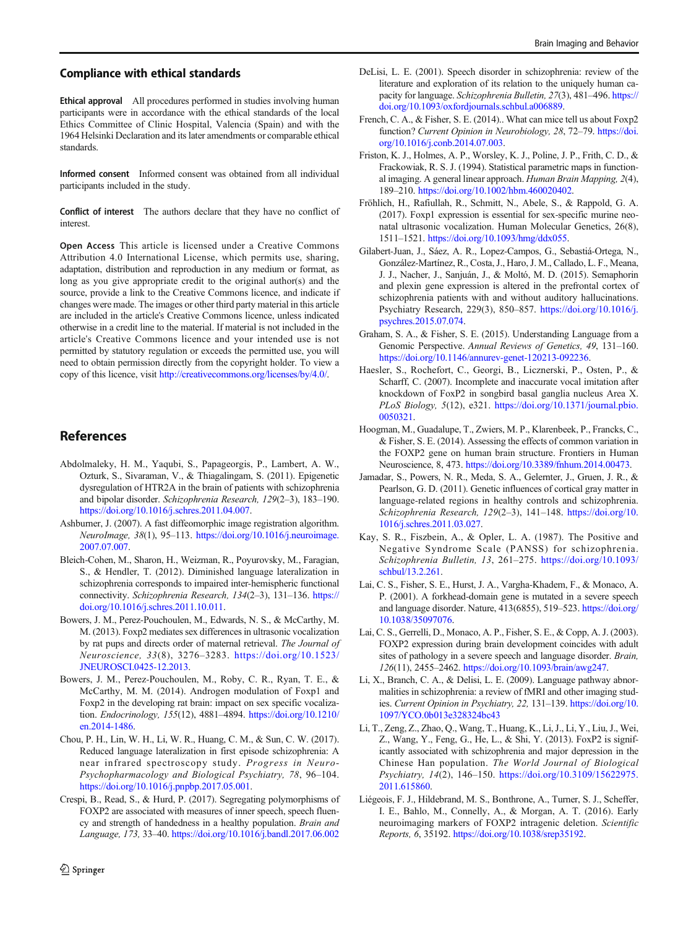#### <span id="page-7-0"></span>Compliance with ethical standards

Ethical approval All procedures performed in studies involving human participants were in accordance with the ethical standards of the local Ethics Committee of Clinic Hospital, Valencia (Spain) and with the 1964 Helsinki Declaration and its later amendments or comparable ethical standards.

Informed consent Informed consent was obtained from all individual participants included in the study.

Conflict of interest The authors declare that they have no conflict of interest.

Open Access This article is licensed under a Creative Commons Attribution 4.0 International License, which permits use, sharing, adaptation, distribution and reproduction in any medium or format, as long as you give appropriate credit to the original author(s) and the source, provide a link to the Creative Commons licence, and indicate if changes were made. The images or other third party material in this article are included in the article's Creative Commons licence, unless indicated otherwise in a credit line to the material. If material is not included in the article's Creative Commons licence and your intended use is not permitted by statutory regulation or exceeds the permitted use, you will need to obtain permission directly from the copyright holder. To view a copy of this licence, visit [http://creativecommons.org/licenses/by/4.0/.](http://creativecommons.org/licenses/by/4.0/)

## References

- Abdolmaleky, H. M., Yaqubi, S., Papageorgis, P., Lambert, A. W., Ozturk, S., Sivaraman, V., & Thiagalingam, S. (2011). Epigenetic dysregulation of HTR2A in the brain of patients with schizophrenia and bipolar disorder. Schizophrenia Research, 129(2–3), 183–190. [https://doi.org/10.1016/j.schres.2011.04.007.](https://doi.org/10.1016/j.schres.2011.04.007)
- Ashburner, J. (2007). A fast diffeomorphic image registration algorithm. NeuroImage, 38(1), 95–113. [https://doi.org/10.1016/j.neuroimage.](https://doi.org/10.1016/j.neuroimage.2007.07.007) [2007.07.007](https://doi.org/10.1016/j.neuroimage.2007.07.007).
- Bleich-Cohen, M., Sharon, H., Weizman, R., Poyurovsky, M., Faragian, S., & Hendler, T. (2012). Diminished language lateralization in schizophrenia corresponds to impaired inter-hemispheric functional connectivity. Schizophrenia Research, 134(2-3), 131-136. [https://](https://doi.org/10.1016/j.schres.2011.10.011) [doi.org/10.1016/j.schres.2011.10.011](https://doi.org/10.1016/j.schres.2011.10.011).
- Bowers, J. M., Perez-Pouchoulen, M., Edwards, N. S., & McCarthy, M. M. (2013). Foxp2 mediates sex differences in ultrasonic vocalization by rat pups and directs order of maternal retrieval. The Journal of Neuroscience, 33(8), 3276–3283. [https://doi.org/10.1523/](https://doi.org/10.1523/JNEUROSCI.0425-12.2013) [JNEUROSCI.0425-12.2013](https://doi.org/10.1523/JNEUROSCI.0425-12.2013).
- Bowers, J. M., Perez-Pouchoulen, M., Roby, C. R., Ryan, T. E., & McCarthy, M. M. (2014). Androgen modulation of Foxp1 and Foxp2 in the developing rat brain: impact on sex specific vocalization. Endocrinology, 155(12), 4881–4894. [https://doi.org/10.1210/](https://doi.org/10.1210/en.2014-1486) [en.2014-1486](https://doi.org/10.1210/en.2014-1486).
- Chou, P. H., Lin, W. H., Li, W. R., Huang, C. M., & Sun, C. W. (2017). Reduced language lateralization in first episode schizophrenia: A near infrared spectroscopy study. Progress in Neuro-Psychopharmacology and Biological Psychiatry, 78, 96–104. <https://doi.org/10.1016/j.pnpbp.2017.05.001>.
- Crespi, B., Read, S., & Hurd, P. (2017). Segregating polymorphisms of FOXP2 are associated with measures of inner speech, speech fluency and strength of handedness in a healthy population. Brain and Language, 173, 33–40. <https://doi.org/10.1016/j.bandl.2017.06.002>
- French, C. A., & Fisher, S. E. (2014).. What can mice tell us about Foxp2 function? Current Opinion in Neurobiology, 28, 72-79. [https://doi.](https://doi.org/10.1016/j.conb.2014.07.003) [org/10.1016/j.conb.2014.07.003.](https://doi.org/10.1016/j.conb.2014.07.003)
- Friston, K. J., Holmes, A. P., Worsley, K. J., Poline, J. P., Frith, C. D., & Frackowiak, R. S. J. (1994). Statistical parametric maps in functional imaging. A general linear approach. Human Brain Mapping, 2(4), 189–210. <https://doi.org/10.1002/hbm.460020402>.
- Fröhlich, H., Rafiullah, R., Schmitt, N., Abele, S., & Rappold, G. A. (2017). Foxp1 expression is essential for sex-specific murine neonatal ultrasonic vocalization. Human Molecular Genetics, 26(8), 1511–1521. <https://doi.org/10.1093/hmg/ddx055>.
- Gilabert-Juan, J., Sáez, A. R., Lopez-Campos, G., Sebastiá-Ortega, N., González-Martínez, R., Costa, J., Haro, J. M., Callado, L. F., Meana, J. J., Nacher, J., Sanjuán, J., & Moltó, M. D. (2015). Semaphorin and plexin gene expression is altered in the prefrontal cortex of schizophrenia patients with and without auditory hallucinations. Psychiatry Research, 229(3), 850–857. [https://doi.org/10.1016/j.](https://doi.org/10.1016/j.psychres.2015.07.074) [psychres.2015.07.074.](https://doi.org/10.1016/j.psychres.2015.07.074)
- Graham, S. A., & Fisher, S. E. (2015). Understanding Language from a Genomic Perspective. Annual Reviews of Genetics, 49, 131–160. [https://doi.org/10.1146/annurev-genet-120213-092236.](https://doi.org/10.1146/annurev-genet-120213-092236)
- Haesler, S., Rochefort, C., Georgi, B., Licznerski, P., Osten, P., & Scharff, C. (2007). Incomplete and inaccurate vocal imitation after knockdown of FoxP2 in songbird basal ganglia nucleus Area X. PLoS Biology, 5(12), e321. [https://doi.org/10.1371/journal.pbio.](https://doi.org/10.1371/journal.pbio.0050321) [0050321](https://doi.org/10.1371/journal.pbio.0050321).
- Hoogman, M., Guadalupe, T., Zwiers, M. P., Klarenbeek, P., Francks, C., & Fisher, S. E. (2014). Assessing the effects of common variation in the FOXP2 gene on human brain structure. Frontiers in Human Neuroscience, 8, 473. [https://doi.org/10.3389/fnhum.2014.00473.](https://doi.org/10.3389/fnhum.2014.00473)
- Jamadar, S., Powers, N. R., Meda, S. A., Gelernter, J., Gruen, J. R., & Pearlson, G. D. (2011). Genetic influences of cortical gray matter in language-related regions in healthy controls and schizophrenia. Schizophrenia Research, 129(2-3), 141-148. [https://doi.org/10.](https://doi.org/10.1016/j.schres.2011.03.027) [1016/j.schres.2011.03.027.](https://doi.org/10.1016/j.schres.2011.03.027)
- Kay, S. R., Fiszbein, A., & Opler, L. A. (1987). The Positive and Negative Syndrome Scale (PANSS) for schizophrenia. Schizophrenia Bulletin, 13, 261–275. [https://doi.org/10.1093/](https://doi.org/10.1093/schbul/13.2.261) [schbul/13.2.261](https://doi.org/10.1093/schbul/13.2.261).
- Lai, C. S., Fisher, S. E., Hurst, J. A., Vargha-Khadem, F., & Monaco, A. P. (2001). A forkhead-domain gene is mutated in a severe speech and language disorder. Nature, 413(6855), 519–523. [https://doi.org/](https://doi.org/10.1038/35097076) [10.1038/35097076](https://doi.org/10.1038/35097076).
- Lai, C. S., Gerrelli, D., Monaco, A. P., Fisher, S. E., & Copp, A. J. (2003). FOXP2 expression during brain development coincides with adult sites of pathology in a severe speech and language disorder. Brain, 126(11), 2455–2462. [https://doi.org/10.1093/brain/awg247.](https://doi.org/10.1093/brain/awg247)
- Li, X., Branch, C. A., & Delisi, L. E. (2009). Language pathway abnormalities in schizophrenia: a review of fMRI and other imaging studies. Current Opinion in Psychiatry, 22, 131–139. [https://doi.org/10.](https://doi.org/10.1097/YCO.0b013e328324bc43) [1097/YCO.0b013e328324bc43](https://doi.org/10.1097/YCO.0b013e328324bc43)
- Li, T., Zeng, Z., Zhao, Q., Wang, T., Huang, K., Li, J., Li, Y., Liu, J., Wei, Z., Wang, Y., Feng, G., He, L., & Shi, Y. (2013). FoxP2 is significantly associated with schizophrenia and major depression in the Chinese Han population. The World Journal of Biological Psychiatry, 14(2), 146–150. [https://doi.org/10.3109/15622975.](https://doi.org/10.3109/15622975.2011.615860) [2011.615860](https://doi.org/10.3109/15622975.2011.615860).
- Liégeois, F. J., Hildebrand, M. S., Bonthrone, A., Turner, S. J., Scheffer, I. E., Bahlo, M., Connelly, A., & Morgan, A. T. (2016). Early neuroimaging markers of FOXP2 intragenic deletion. Scientific Reports, 6, 35192. <https://doi.org/10.1038/srep35192>.